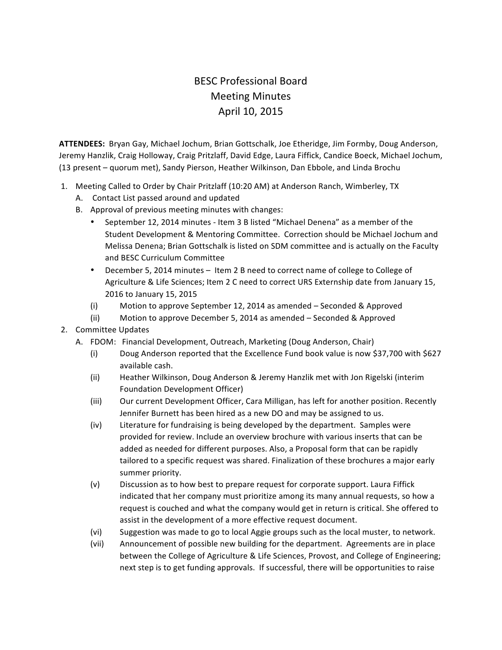## **BESC Professional Board** Meeting Minutes April 10, 2015

ATTENDEES: Bryan Gay, Michael Jochum, Brian Gottschalk, Joe Etheridge, Jim Formby, Doug Anderson, Jeremy Hanzlik, Craig Holloway, Craig Pritzlaff, David Edge, Laura Fiffick, Candice Boeck, Michael Jochum, (13 present – quorum met), Sandy Pierson, Heather Wilkinson, Dan Ebbole, and Linda Brochu

- 1. Meeting Called to Order by Chair Pritzlaff (10:20 AM) at Anderson Ranch, Wimberley, TX
	- A. Contact List passed around and updated
	- B. Approval of previous meeting minutes with changes:
		- September 12, 2014 minutes Item 3 B listed "Michael Denena" as a member of the Student Development & Mentoring Committee. Correction should be Michael Jochum and Melissa Denena; Brian Gottschalk is listed on SDM committee and is actually on the Faculty and BESC Curriculum Committee
		- December 5, 2014 minutes Item 2 B need to correct name of college to College of Agriculture & Life Sciences; Item 2 C need to correct URS Externship date from January 15, 2016 to January 15, 2015
		- (i) Motion to approve September 12, 2014 as amended Seconded & Approved
		- (ii) Motion to approve December 5, 2014 as amended  $-$  Seconded & Approved
- 2. Committee Updates
	- A. FDOM: Financial Development, Outreach, Marketing (Doug Anderson, Chair)
		- (i) Doug Anderson reported that the Excellence Fund book value is now \$37,700 with \$627 available cash.
		- (ii) Heather Wilkinson, Doug Anderson & Jeremy Hanzlik met with Jon Rigelski (interim Foundation Development Officer)
		- (iii) Our current Development Officer, Cara Milligan, has left for another position. Recently Jennifer Burnett has been hired as a new DO and may be assigned to us.
		- $(iv)$  Literature for fundraising is being developed by the department. Samples were provided for review. Include an overview brochure with various inserts that can be added as needed for different purposes. Also, a Proposal form that can be rapidly tailored to a specific request was shared. Finalization of these brochures a major early summer priority.
		- (v) Discussion as to how best to prepare request for corporate support. Laura Fiffick indicated that her company must prioritize among its many annual requests, so how a request is couched and what the company would get in return is critical. She offered to assist in the development of a more effective request document.
		- (vi) Suggestion was made to go to local Aggie groups such as the local muster, to network.
		- (vii) Announcement of possible new building for the department. Agreements are in place between the College of Agriculture & Life Sciences, Provost, and College of Engineering; next step is to get funding approvals. If successful, there will be opportunities to raise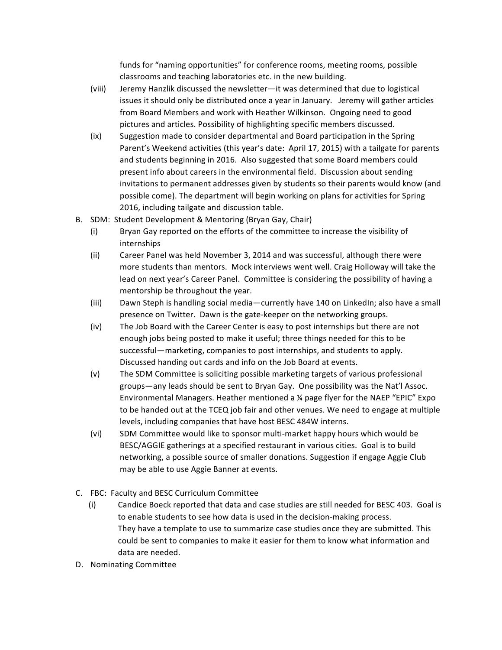funds for "naming opportunities" for conference rooms, meeting rooms, possible classrooms and teaching laboratories etc. in the new building.

- (viii) Jeremy Hanzlik discussed the newsletter—it was determined that due to logistical issues it should only be distributed once a year in January. Jeremy will gather articles from Board Members and work with Heather Wilkinson. Ongoing need to good pictures and articles. Possibility of highlighting specific members discussed.
- (ix) Suggestion made to consider departmental and Board participation in the Spring Parent's Weekend activities (this year's date: April 17, 2015) with a tailgate for parents and students beginning in 2016. Also suggested that some Board members could present info about careers in the environmental field. Discussion about sending invitations to permanent addresses given by students so their parents would know (and possible come). The department will begin working on plans for activities for Spring 2016, including tailgate and discussion table.
- B. SDM: Student Development & Mentoring (Bryan Gay, Chair)
	- (i) Bryan Gay reported on the efforts of the committee to increase the visibility of internships
	- (ii) Career Panel was held November 3, 2014 and was successful, although there were more students than mentors. Mock interviews went well. Craig Holloway will take the lead on next year's Career Panel. Committee is considering the possibility of having a mentorship be throughout the year.
	- (iii) Dawn Steph is handling social media—currently have 140 on LinkedIn; also have a small presence on Twitter. Dawn is the gate-keeper on the networking groups.
	- $(iv)$  The Job Board with the Career Center is easy to post internships but there are not enough jobs being posted to make it useful; three things needed for this to be successful—marketing, companies to post internships, and students to apply. Discussed handing out cards and info on the Job Board at events.
	- (v) The SDM Committee is soliciting possible marketing targets of various professional groups-any leads should be sent to Bryan Gay. One possibility was the Nat'l Assoc. Environmental Managers. Heather mentioned a  $\frac{1}{4}$  page flyer for the NAEP "EPIC" Expo to be handed out at the TCEQ job fair and other venues. We need to engage at multiple levels, including companies that have host BESC 484W interns.
	- (vi) SDM Committee would like to sponsor multi-market happy hours which would be BESC/AGGIE gatherings at a specified restaurant in various cities. Goal is to build networking, a possible source of smaller donations. Suggestion if engage Aggie Club may be able to use Aggie Banner at events.
- C. FBC: Faculty and BESC Curriculum Committee
	- (i) Candice Boeck reported that data and case studies are still needed for BESC 403. Goal is to enable students to see how data is used in the decision-making process. They have a template to use to summarize case studies once they are submitted. This could be sent to companies to make it easier for them to know what information and data are needed.
- D. Nominating Committee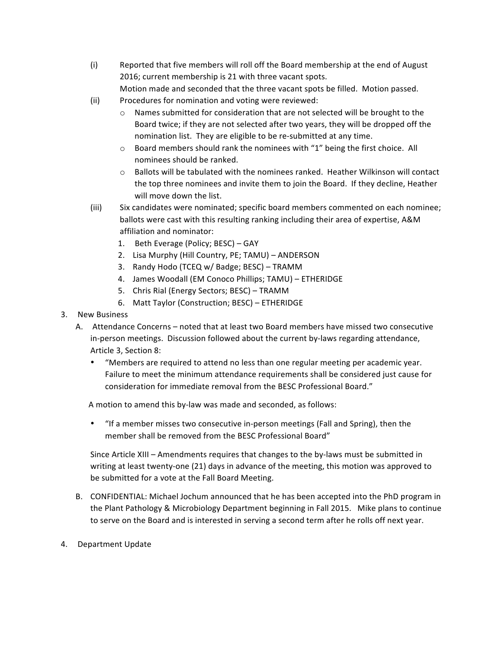(i) Reported that five members will roll off the Board membership at the end of August 2016; current membership is 21 with three vacant spots.

Motion made and seconded that the three vacant spots be filled. Motion passed.

- (ii) Procedures for nomination and voting were reviewed:
	- $\circ$  Names submitted for consideration that are not selected will be brought to the Board twice; if they are not selected after two years, they will be dropped off the nomination list. They are eligible to be re-submitted at any time.
	- $\circ$  Board members should rank the nominees with "1" being the first choice. All nominees should be ranked.
	- $\circ$  Ballots will be tabulated with the nominees ranked. Heather Wilkinson will contact the top three nominees and invite them to join the Board. If they decline, Heather will move down the list.
- (iii) Six candidates were nominated; specific board members commented on each nominee; ballots were cast with this resulting ranking including their area of expertise, A&M affiliation and nominator:
	- 1. Beth Everage (Policy; BESC) GAY
	- 2. Lisa Murphy (Hill Country, PE; TAMU) ANDERSON
	- 3. Randy Hodo (TCEQ w/ Badge; BESC) TRAMM
	- 4. James Woodall (EM Conoco Phillips; TAMU) ETHERIDGE
	- 5. Chris Rial (Energy Sectors; BESC) TRAMM
	- 6. Matt Taylor (Construction; BESC) ETHERIDGE
- 3. New Business
	- A. Attendance Concerns noted that at least two Board members have missed two consecutive in-person meetings. Discussion followed about the current by-laws regarding attendance, Article 3, Section 8:
		- "Members are required to attend no less than one regular meeting per academic year. Failure to meet the minimum attendance requirements shall be considered just cause for consideration for immediate removal from the BESC Professional Board."

A motion to amend this by-law was made and seconded, as follows:

"If a member misses two consecutive in-person meetings (Fall and Spring), then the member shall be removed from the BESC Professional Board"

Since Article XIII – Amendments requires that changes to the by-laws must be submitted in writing at least twenty-one (21) days in advance of the meeting, this motion was approved to be submitted for a vote at the Fall Board Meeting.

- B. CONFIDENTIAL: Michael Jochum announced that he has been accepted into the PhD program in the Plant Pathology & Microbiology Department beginning in Fall 2015. Mike plans to continue to serve on the Board and is interested in serving a second term after he rolls off next year.
- 4. Department Update